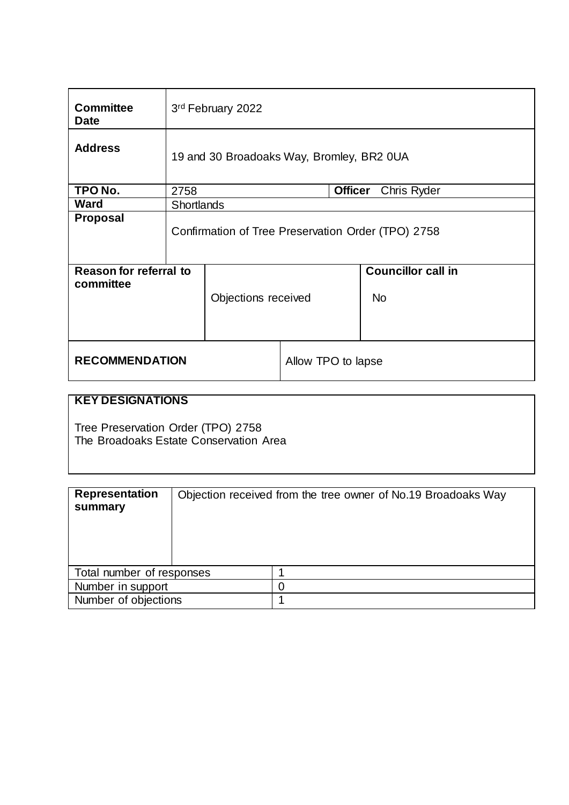| <b>Committee</b><br><b>Date</b>            | 3rd February 2022                                  |                     |                    |  |                                        |
|--------------------------------------------|----------------------------------------------------|---------------------|--------------------|--|----------------------------------------|
| <b>Address</b>                             | 19 and 30 Broadoaks Way, Bromley, BR2 0UA          |                     |                    |  |                                        |
| TPO No.                                    | 2758                                               | <b>Officer</b>      |                    |  | Chris Ryder                            |
| <b>Ward</b>                                | <b>Shortlands</b>                                  |                     |                    |  |                                        |
| <b>Proposal</b>                            | Confirmation of Tree Preservation Order (TPO) 2758 |                     |                    |  |                                        |
| <b>Reason for referral to</b><br>committee |                                                    | Objections received |                    |  | <b>Councillor call in</b><br><b>No</b> |
| <b>RECOMMENDATION</b>                      |                                                    |                     | Allow TPO to lapse |  |                                        |

# **KEY DESIGNATIONS**

Tree Preservation Order (TPO) 2758 The Broadoaks Estate Conservation Area

| <b>Representation</b><br>summary | Objection received from the tree owner of No.19 Broadoaks Way |  |
|----------------------------------|---------------------------------------------------------------|--|
| Total number of responses        |                                                               |  |
| Number in support                |                                                               |  |
| Number of objections             |                                                               |  |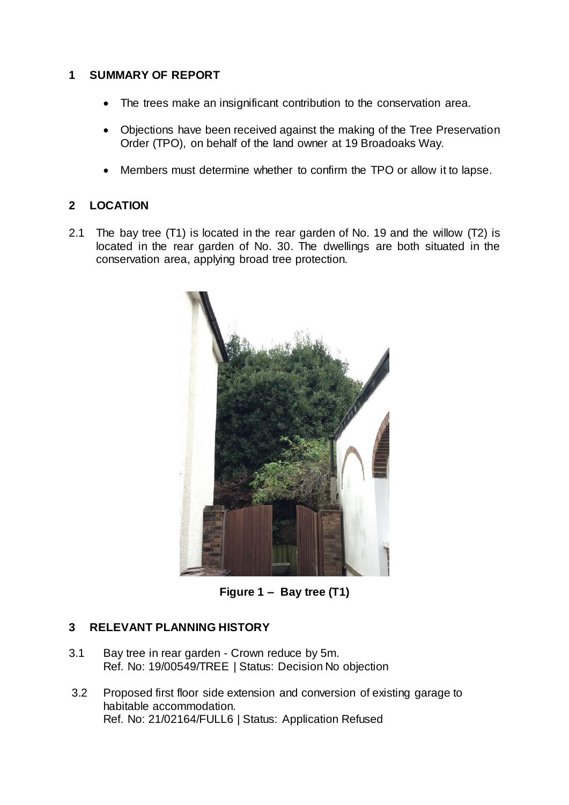# **1 SUMMARY OF REPORT**

- The trees make an insignificant contribution to the conservation area.
- Objections have been received against the making of the Tree Preservation Order (TPO), on behalf of the land owner at 19 Broadoaks Way.
- Members must determine whether to confirm the TPO or allow it to lapse.

# **2 LOCATION**

2.1 The bay tree (T1) is located in the rear garden of No. 19 and the willow (T2) is located in the rear garden of No. 30. The dwellings are both situated in the conservation area, applying broad tree protection.



**Figure 1 – Bay tree (T1)**

# **3 RELEVANT PLANNING HISTORY**

- 3.1 Bay tree in rear garden Crown reduce by 5m. Ref. No: 19/00549/TREE | Status: Decision No objection
- 3.2 Proposed first floor side extension and conversion of existing garage to habitable accommodation. Ref. No: 21/02164/FULL6 | Status: Application Refused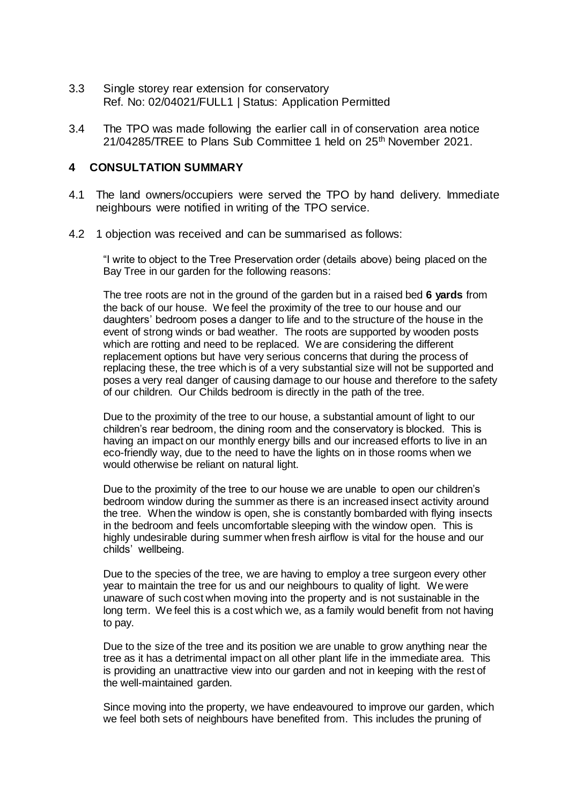- 3.3 Single storey rear extension for conservatory Ref. No: 02/04021/FULL1 | Status: Application Permitted
- 3.4 The TPO was made following the earlier call in of conservation area notice 21/04285/TREE to Plans Sub Committee 1 held on 25<sup>th</sup> November 2021.

#### **4 CONSULTATION SUMMARY**

- 4.1 The land owners/occupiers were served the TPO by hand delivery. Immediate neighbours were notified in writing of the TPO service.
- 4.2 1 objection was received and can be summarised as follows:

"I write to object to the Tree Preservation order (details above) being placed on the Bay Tree in our garden for the following reasons:

The tree roots are not in the ground of the garden but in a raised bed **6 yards** from the back of our house. We feel the proximity of the tree to our house and our daughters' bedroom poses a danger to life and to the structure of the house in the event of strong winds or bad weather. The roots are supported by wooden posts which are rotting and need to be replaced. We are considering the different replacement options but have very serious concerns that during the process of replacing these, the tree which is of a very substantial size will not be supported and poses a very real danger of causing damage to our house and therefore to the safety of our children. Our Childs bedroom is directly in the path of the tree.

Due to the proximity of the tree to our house, a substantial amount of light to our children's rear bedroom, the dining room and the conservatory is blocked. This is having an impact on our monthly energy bills and our increased efforts to live in an eco-friendly way, due to the need to have the lights on in those rooms when we would otherwise be reliant on natural light.

Due to the proximity of the tree to our house we are unable to open our children's bedroom window during the summer as there is an increased insect activity around the tree. When the window is open, she is constantly bombarded with flying insects in the bedroom and feels uncomfortable sleeping with the window open. This is highly undesirable during summer when fresh airflow is vital for the house and our childs' wellbeing.

Due to the species of the tree, we are having to employ a tree surgeon every other year to maintain the tree for us and our neighbours to quality of light. We were unaware of such cost when moving into the property and is not sustainable in the long term. We feel this is a cost which we, as a family would benefit from not having to pay.

Due to the size of the tree and its position we are unable to grow anything near the tree as it has a detrimental impact on all other plant life in the immediate area. This is providing an unattractive view into our garden and not in keeping with the rest of the well-maintained garden.

Since moving into the property, we have endeavoured to improve our garden, which we feel both sets of neighbours have benefited from. This includes the pruning of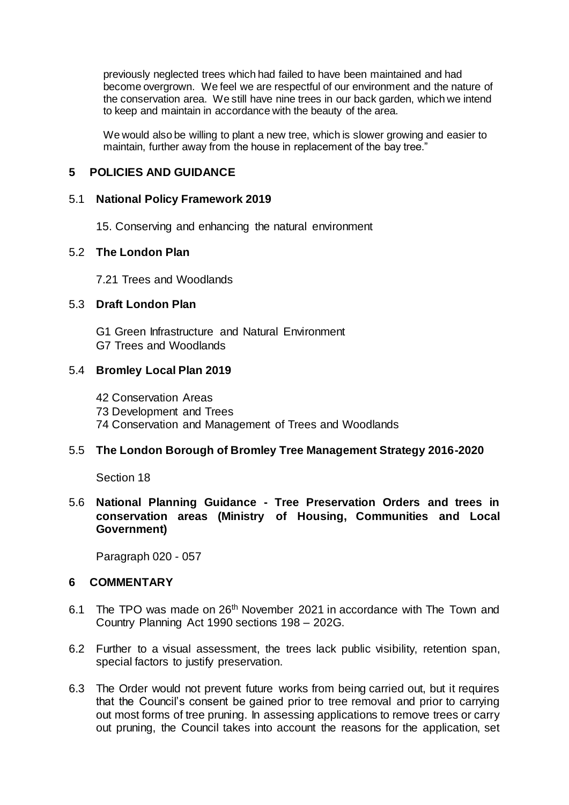previously neglected trees which had failed to have been maintained and had become overgrown. We feel we are respectful of our environment and the nature of the conservation area. We still have nine trees in our back garden, which we intend to keep and maintain in accordance with the beauty of the area.

We would also be willing to plant a new tree, which is slower growing and easier to maintain, further away from the house in replacement of the bay tree."

## **5 POLICIES AND GUIDANCE**

#### 5.1 **National Policy Framework 2019**

15. Conserving and enhancing the natural environment

#### 5.2 **The London Plan**

7.21 Trees and Woodlands

#### 5.3 **Draft London Plan**

G1 Green Infrastructure and Natural Environment G7 Trees and Woodlands

#### 5.4 **Bromley Local Plan 2019**

42 Conservation Areas 73 Development and Trees 74 Conservation and Management of Trees and Woodlands

### 5.5 **The London Borough of Bromley Tree Management Strategy 2016-2020**

Section 18

#### 5.6 **National Planning Guidance - Tree Preservation Orders and trees in conservation areas (Ministry of Housing, Communities and Local Government)**

Paragraph 020 - 057

#### **6 COMMENTARY**

- 6.1 The TPO was made on 26<sup>th</sup> November 2021 in accordance with The Town and Country Planning Act 1990 sections 198 – 202G.
- 6.2 Further to a visual assessment, the trees lack public visibility, retention span, special factors to justify preservation.
- 6.3 The Order would not prevent future works from being carried out, but it requires that the Council's consent be gained prior to tree removal and prior to carrying out most forms of tree pruning. In assessing applications to remove trees or carry out pruning, the Council takes into account the reasons for the application, set